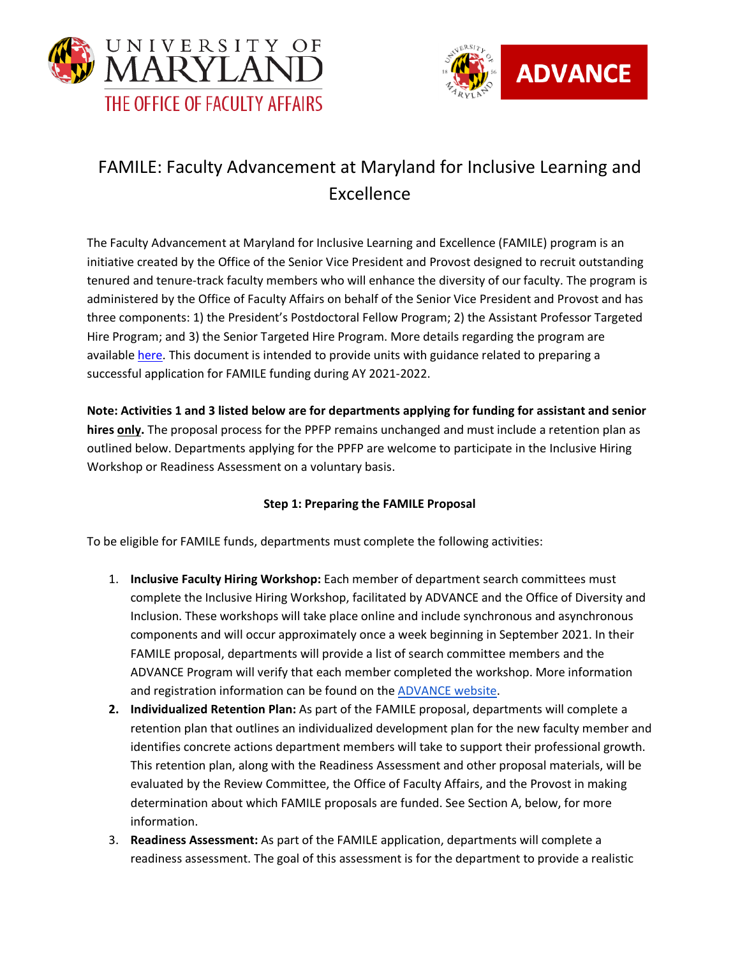



## FAMILE: Faculty Advancement at Maryland for Inclusive Learning and Excellence

The Faculty Advancement at Maryland for Inclusive Learning and Excellence (FAMILE) program is an initiative created by the Office of the Senior Vice President and Provost designed to recruit outstanding tenured and tenure-track faculty members who will enhance the diversity of our faculty. The program is administered by the Office of Faculty Affairs on behalf of the Senior Vice President and Provost and has three components: 1) the President's Postdoctoral Fellow Program; 2) the Assistant Professor Targeted Hire Program; and 3) the Senior Targeted Hire Program. More details regarding the program are available [here.](https://faculty.umd.edu/main/appointments/faculty-hiring-process) This document is intended to provide units with guidance related to preparing a successful application for FAMILE funding during AY 2021-2022.

**Note: Activities 1 and 3 listed below are for departments applying for funding for assistant and senior hires only.** The proposal process for the PPFP remains unchanged and must include a retention plan as outlined below. Departments applying for the PPFP are welcome to participate in the Inclusive Hiring Workshop or Readiness Assessment on a voluntary basis.

## **Step 1: Preparing the FAMILE Proposal**

To be eligible for FAMILE funds, departments must complete the following activities:

- 1. **Inclusive Faculty Hiring Workshop:** Each member of department search committees must complete the Inclusive Hiring Workshop, facilitated by ADVANCE and the Office of Diversity and Inclusion. These workshops will take place online and include synchronous and asynchronous components and will occur approximately once a week beginning in September 2021. In their FAMILE proposal, departments will provide a list of search committee members and the ADVANCE Program will verify that each member completed the workshop. More information and registration information can be found on th[e ADVANCE website.](https://advance.umd.edu/inclusive-hiring)
- **2. [Individualized Retention Plan:](#page-4-0)** As part of the FAMILE proposal, departments will complete a retention plan that outlines an individualized development plan for the new faculty member and identifies concrete actions department members will take to support their professional growth. This retention plan, along with the Readiness Assessment and other proposal materials, will be evaluated by the Review Committee, the Office of Faculty Affairs, and the Provost in making determination about which FAMILE proposals are funded. See Section A, below, for more information.
- 3. **[Readiness Assessment:](#page-6-0)** As part of the FAMILE application, departments will complete a readiness assessment. The goal of this assessment is for the department to provide a realistic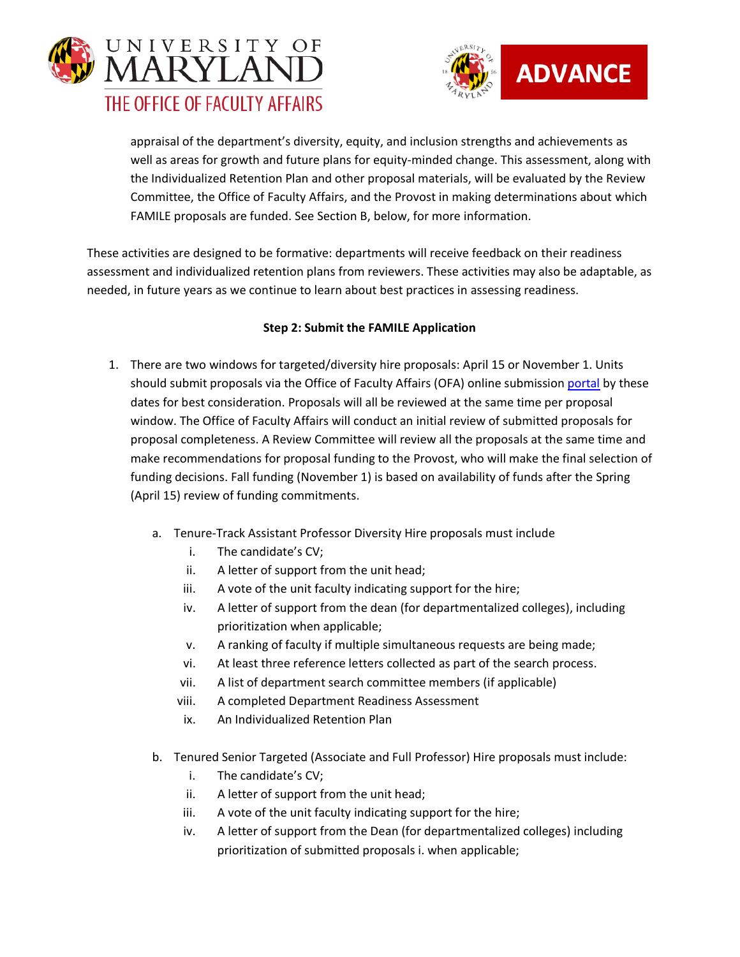



appraisal of the department's diversity, equity, and inclusion strengths and achievements as well as areas for growth and future plans for equity-minded change. This assessment, along with the Individualized Retention Plan and other proposal materials, will be evaluated by the Review Committee, the Office of Faculty Affairs, and the Provost in making determinations about which FAMILE proposals are funded. See Section B, below, for more information.

These activities are designed to be formative: departments will receive feedback on their readiness assessment and individualized retention plans from reviewers. These activities may also be adaptable, as needed, in future years as we continue to learn about best practices in assessing readiness.

## **Step 2: Submit the FAMILE Application**

- 1. There are two windows for targeted/diversity hire proposals: April 15 or November 1. Units should submit proposals via the Office of Faculty Affairs (OFA) online submissio[n portal](http://faculty.umd.edu/apa) by these dates for best consideration. Proposals will all be reviewed at the same time per proposal window. The Office of Faculty Affairs will conduct an initial review of submitted proposals for proposal completeness. A Review Committee will review all the proposals at the same time and make recommendations for proposal funding to the Provost, who will make the final selection of funding decisions. Fall funding (November 1) is based on availability of funds after the Spring (April 15) review of funding commitments.
	- a. Tenure-Track Assistant Professor Diversity Hire proposals must include
		- i. The candidate's CV;
		- ii. A letter of support from the unit head;
		- iii. A vote of the unit faculty indicating support for the hire;
		- iv. A letter of support from the dean (for departmentalized colleges), including prioritization when applicable;
		- v. A ranking of faculty if multiple simultaneous requests are being made;
		- vi. At least three reference letters collected as part of the search process.
		- vii. A list of department search committee members (if applicable)
		- viii. A completed Department Readiness Assessment
		- ix. An Individualized Retention Plan
	- b. Tenured Senior Targeted (Associate and Full Professor) Hire proposals must include:
		- i. The candidate's CV;
		- ii. A letter of support from the unit head;
		- iii. A vote of the unit faculty indicating support for the hire;
		- iv. A letter of support from the Dean (for departmentalized colleges) including prioritization of submitted proposals i. when applicable;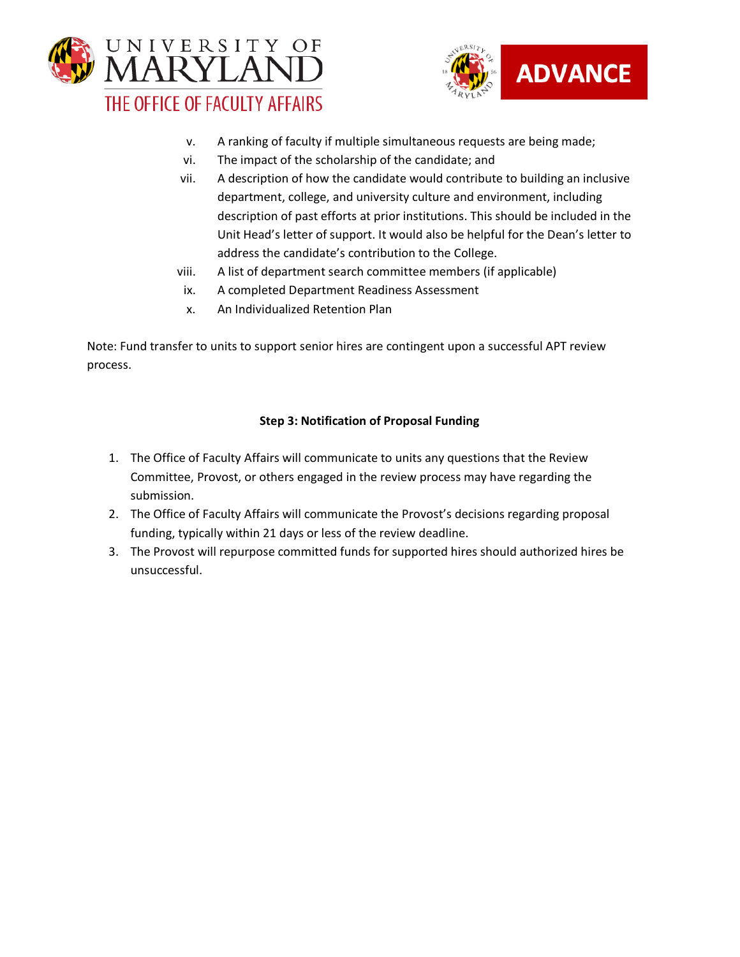



- v. A ranking of faculty if multiple simultaneous requests are being made;
- vi. The impact of the scholarship of the candidate; and
- vii. A description of how the candidate would contribute to building an inclusive department, college, and university culture and environment, including description of past efforts at prior institutions. This should be included in the Unit Head's letter of support. It would also be helpful for the Dean's letter to address the candidate's contribution to the College.
- viii. A list of department search committee members (if applicable)
- ix. A completed Department Readiness Assessment
- x. An Individualized Retention Plan

Note: Fund transfer to units to support senior hires are contingent upon a successful APT review process.

## **Step 3: Notification of Proposal Funding**

- 1. The Office of Faculty Affairs will communicate to units any questions that the Review Committee, Provost, or others engaged in the review process may have regarding the submission.
- 2. The Office of Faculty Affairs will communicate the Provost's decisions regarding proposal funding, typically within 21 days or less of the review deadline.
- 3. The Provost will repurpose committed funds for supported hires should authorized hires be unsuccessful.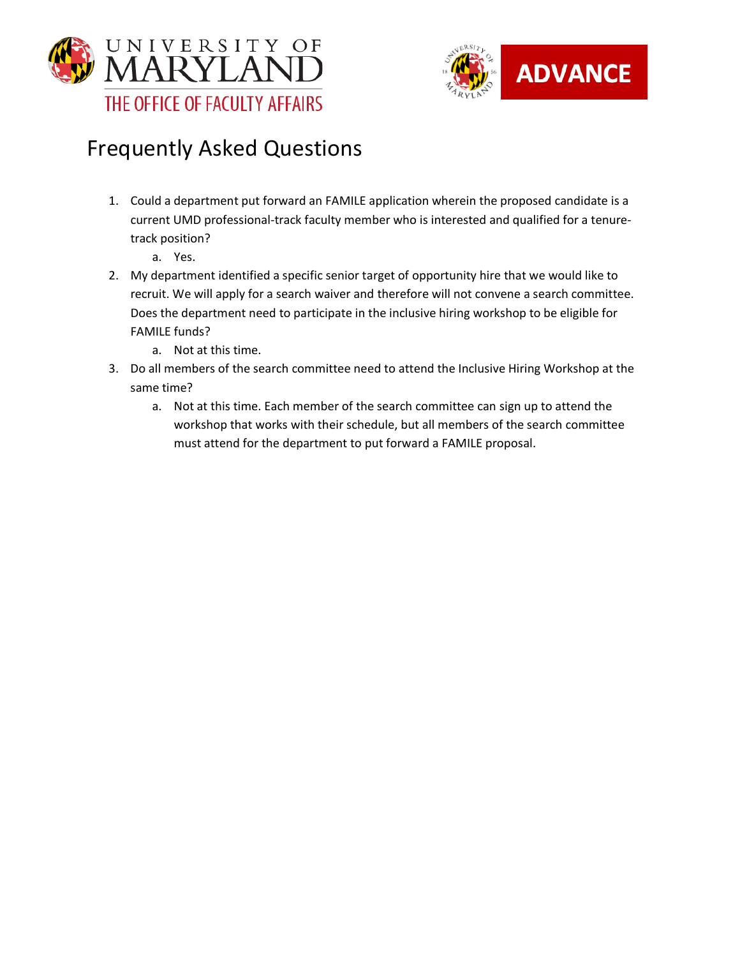



# Frequently Asked Questions

- 1. Could a department put forward an FAMILE application wherein the proposed candidate is a current UMD professional-track faculty member who is interested and qualified for a tenuretrack position?
	- a. Yes.
- 2. My department identified a specific senior target of opportunity hire that we would like to recruit. We will apply for a search waiver and therefore will not convene a search committee. Does the department need to participate in the inclusive hiring workshop to be eligible for FAMILE funds?
	- a. Not at this time.
- 3. Do all members of the search committee need to attend the Inclusive Hiring Workshop at the same time?
	- a. Not at this time. Each member of the search committee can sign up to attend the workshop that works with their schedule, but all members of the search committee must attend for the department to put forward a FAMILE proposal.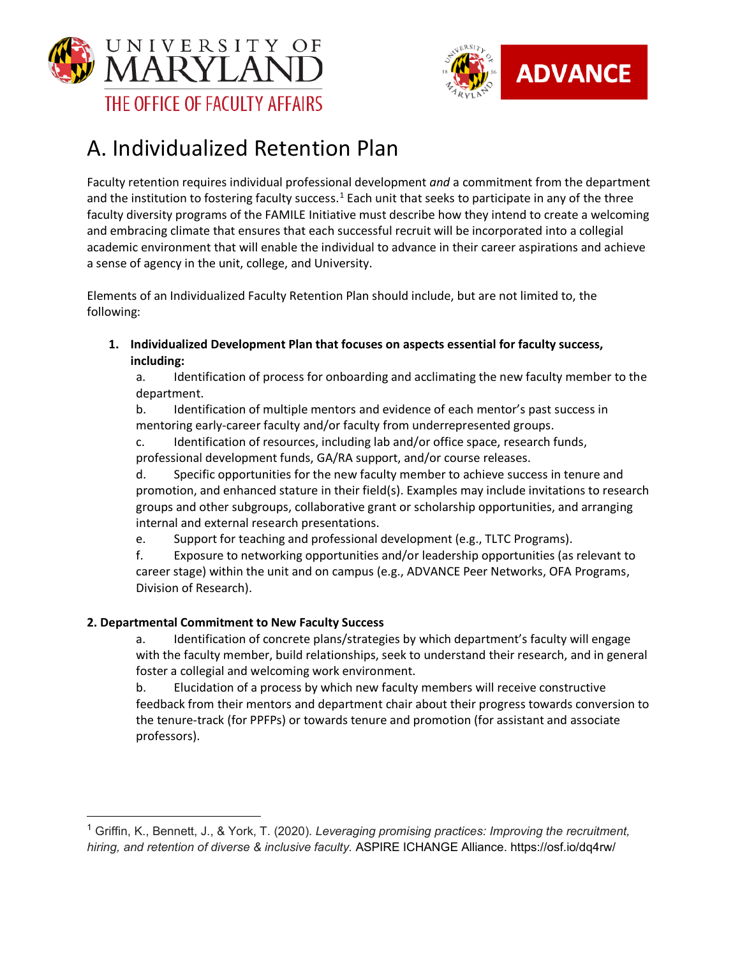



# <span id="page-4-0"></span>A. Individualized Retention Plan

Faculty retention requires individual professional development *and* a commitment from the department and the institution to fostering faculty success.<sup>[1](#page-4-1)</sup> Each unit that seeks to participate in any of the three faculty diversity programs of the FAMILE Initiative must describe how they intend to create a welcoming and embracing climate that ensures that each successful recruit will be incorporated into a collegial academic environment that will enable the individual to advance in their career aspirations and achieve a sense of agency in the unit, college, and University.

Elements of an Individualized Faculty Retention Plan should include, but are not limited to, the following:

**1. Individualized Development Plan that focuses on aspects essential for faculty success, including:**

a. Identification of process for onboarding and acclimating the new faculty member to the department.

b. Identification of multiple mentors and evidence of each mentor's past success in mentoring early-career faculty and/or faculty from underrepresented groups.

c. Identification of resources, including lab and/or office space, research funds, professional development funds, GA/RA support, and/or course releases.

d. Specific opportunities for the new faculty member to achieve success in tenure and promotion, and enhanced stature in their field(s). Examples may include invitations to research groups and other subgroups, collaborative grant or scholarship opportunities, and arranging internal and external research presentations.

e. Support for teaching and professional development (e.g., TLTC Programs).

f. Exposure to networking opportunities and/or leadership opportunities (as relevant to career stage) within the unit and on campus (e.g., ADVANCE Peer Networks, OFA Programs, Division of Research).

## **2. Departmental Commitment to New Faculty Success**

a. Identification of concrete plans/strategies by which department's faculty will engage with the faculty member, build relationships, seek to understand their research, and in general foster a collegial and welcoming work environment.

b. Elucidation of a process by which new faculty members will receive constructive feedback from their mentors and department chair about their progress towards conversion to the tenure-track (for PPFPs) or towards tenure and promotion (for assistant and associate professors).

<span id="page-4-1"></span><sup>1</sup> Griffin, K., Bennett, J., & York, T. (2020). *Leveraging promising practices: Improving the recruitment, hiring, and retention of diverse & inclusive faculty.* ASPIRE ICHANGE Alliance. https://osf.io/dq4rw/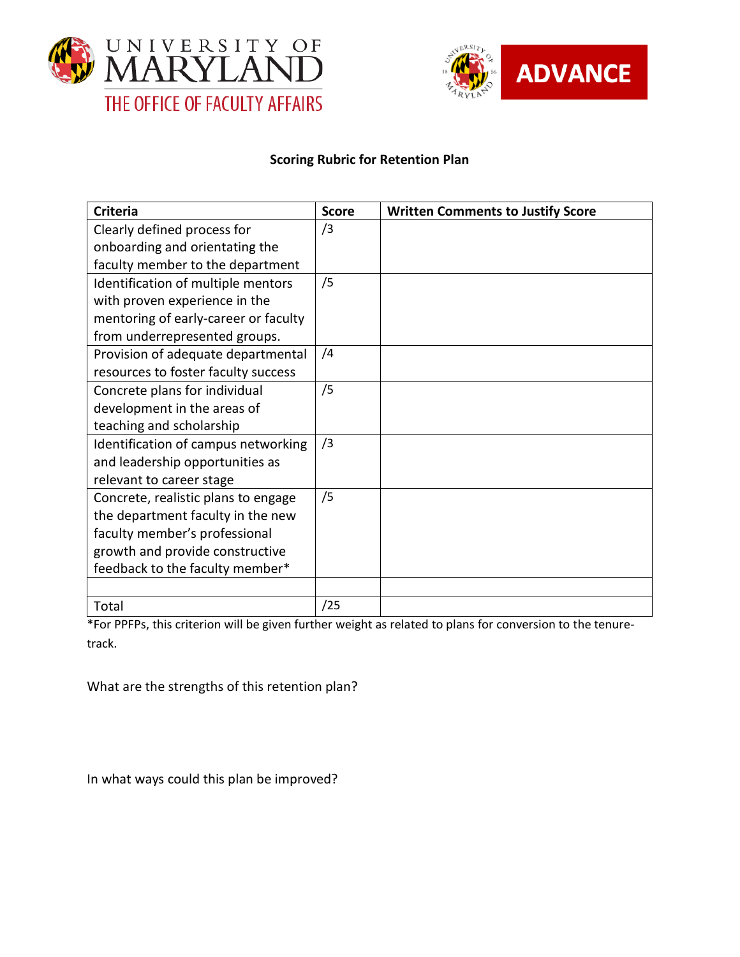



## **Scoring Rubric for Retention Plan**

| <b>Criteria</b>                      | <b>Score</b> | <b>Written Comments to Justify Score</b> |
|--------------------------------------|--------------|------------------------------------------|
| Clearly defined process for          | /3           |                                          |
| onboarding and orientating the       |              |                                          |
| faculty member to the department     |              |                                          |
| Identification of multiple mentors   | /5           |                                          |
| with proven experience in the        |              |                                          |
| mentoring of early-career or faculty |              |                                          |
| from underrepresented groups.        |              |                                          |
| Provision of adequate departmental   | /4           |                                          |
| resources to foster faculty success  |              |                                          |
| Concrete plans for individual        | /5           |                                          |
| development in the areas of          |              |                                          |
| teaching and scholarship             |              |                                          |
| Identification of campus networking  | /3           |                                          |
| and leadership opportunities as      |              |                                          |
| relevant to career stage             |              |                                          |
| Concrete, realistic plans to engage  | /5           |                                          |
| the department faculty in the new    |              |                                          |
| faculty member's professional        |              |                                          |
| growth and provide constructive      |              |                                          |
| feedback to the faculty member*      |              |                                          |
|                                      |              |                                          |
| Total                                | /25          |                                          |

\*For PPFPs, this criterion will be given further weight as related to plans for conversion to the tenuretrack.

What are the strengths of this retention plan?

In what ways could this plan be improved?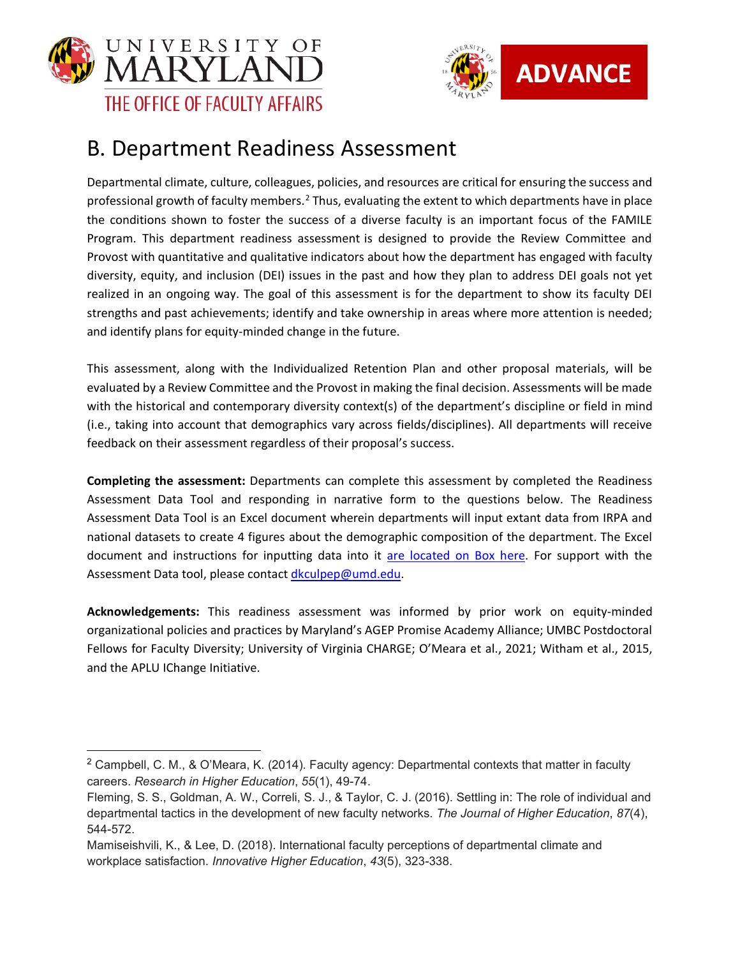



## <span id="page-6-0"></span>B. Department Readiness Assessment

Departmental climate, culture, colleagues, policies, and resources are critical for ensuring the success and professional growth of faculty members.<sup>[2](#page-6-1)</sup> Thus, evaluating the extent to which departments have in place the conditions shown to foster the success of a diverse faculty is an important focus of the FAMILE Program. This department readiness assessment is designed to provide the Review Committee and Provost with quantitative and qualitative indicators about how the department has engaged with faculty diversity, equity, and inclusion (DEI) issues in the past and how they plan to address DEI goals not yet realized in an ongoing way. The goal of this assessment is for the department to show its faculty DEI strengths and past achievements; identify and take ownership in areas where more attention is needed; and identify plans for equity-minded change in the future.

This assessment, along with the Individualized Retention Plan and other proposal materials, will be evaluated by a Review Committee and the Provost in making the final decision. Assessments will be made with the historical and contemporary diversity context(s) of the department's discipline or field in mind (i.e., taking into account that demographics vary across fields/disciplines). All departments will receive feedback on their assessment regardless of their proposal's success.

**Completing the assessment:** Departments can complete this assessment by completed the Readiness Assessment Data Tool and responding in narrative form to the questions below. The Readiness Assessment Data Tool is an Excel document wherein departments will input extant data from IRPA and national datasets to create 4 figures about the demographic composition of the department. The Excel document and instructions for inputting data into it [are located on Box here.](https://umd.box.com/s/yjur94ccd5i8z7bzpybt3xpk4fpc3kcq) For support with the Assessment Data tool, please contact [dkculpep@umd.edu.](mailto:dkculpep@umd.edu)

**Acknowledgements:** This readiness assessment was informed by prior work on equity-minded organizational policies and practices by Maryland's AGEP Promise Academy Alliance; UMBC Postdoctoral Fellows for Faculty Diversity; University of Virginia CHARGE; O'Meara et al., 2021; Witham et al., 2015, and the APLU IChange Initiative.

<span id="page-6-1"></span><sup>&</sup>lt;sup>2</sup> Campbell, C. M., & O'Meara, K. (2014). Faculty agency: Departmental contexts that matter in faculty careers. *Research in Higher Education*, *55*(1), 49-74.

Fleming, S. S., Goldman, A. W., Correli, S. J., & Taylor, C. J. (2016). Settling in: The role of individual and departmental tactics in the development of new faculty networks. *The Journal of Higher Education*, *87*(4), 544-572.

Mamiseishvili, K., & Lee, D. (2018). International faculty perceptions of departmental climate and workplace satisfaction. *Innovative Higher Education*, *43*(5), 323-338.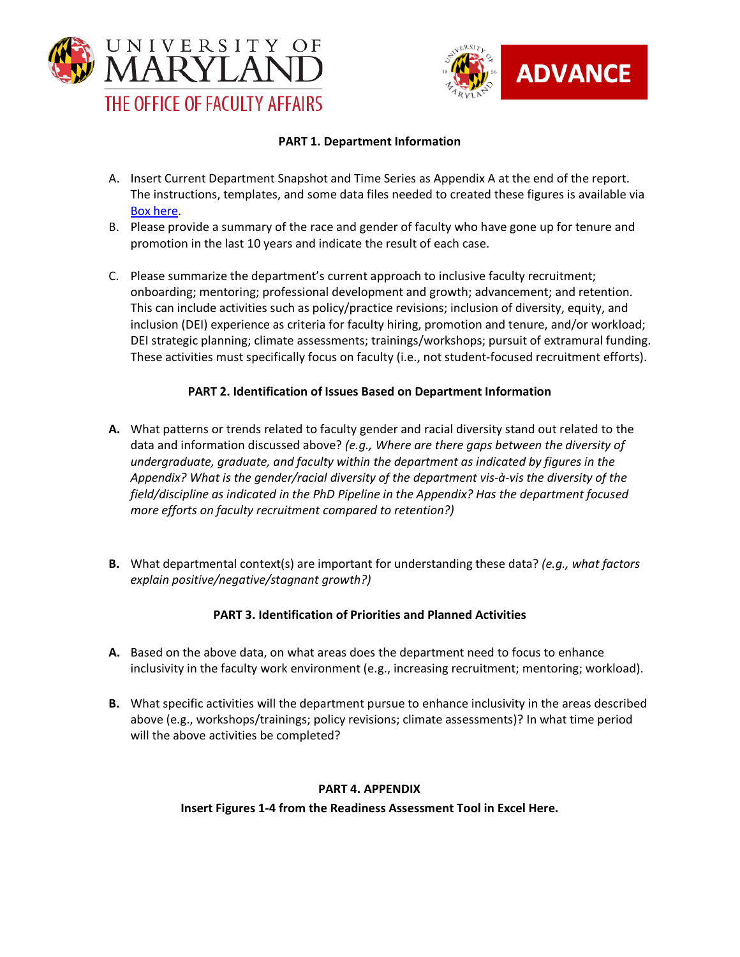



#### **PART 1. Department Information**

- A. Insert Current Department Snapshot and Time Series as Appendix A at the end of the report. The instructions, templates, and some data files needed to created these figures is available via [Box here.](https://umd.app.box.com/s/yjur94ccd5i8z7bzpybt3xpk4fpc3kcq)
- B. Please provide a summary of the race and gender of faculty who have gone up for tenure and promotion in the last 10 years and indicate the result of each case.
- C. Please summarize the department's current approach to inclusive faculty recruitment; onboarding; mentoring; professional development and growth; advancement; and retention. This can include activities such as policy/practice revisions; inclusion of diversity, equity, and inclusion (DEI) experience as criteria for faculty hiring, promotion and tenure, and/or workload; DEI strategic planning; climate assessments; trainings/workshops; pursuit of extramural funding. These activities must specifically focus on faculty (i.e., not student-focused recruitment efforts).

### **PART 2. Identification of Issues Based on Department Information**

- **A.** What patterns or trends related to faculty gender and racial diversity stand out related to the data and information discussed above? *(e.g., Where are there gaps between the diversity of undergraduate, graduate, and faculty within the department as indicated by figures in the Appendix? What is the gender/racial diversity of the department vis-à-vis the diversity of the field/discipline as indicated in the PhD Pipeline in the Appendix? Has the department focused more efforts on faculty recruitment compared to retention?)*
- **B.** What departmental context(s) are important for understanding these data? *(e.g., what factors explain positive/negative/stagnant growth?)*

## **PART 3. Identification of Priorities and Planned Activities**

- **A.** Based on the above data, on what areas does the department need to focus to enhance inclusivity in the faculty work environment (e.g., increasing recruitment; mentoring; workload).
- **B.** What specific activities will the department pursue to enhance inclusivity in the areas described above (e.g., workshops/trainings; policy revisions; climate assessments)? In what time period will the above activities be completed?

#### **PART 4. APPENDIX**

**Insert Figures 1-4 from the Readiness Assessment Tool in Excel Here.**